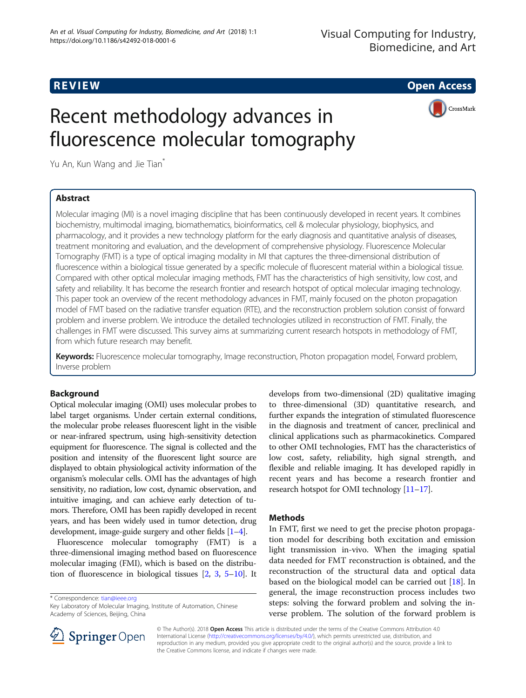R EVI EW Open Access

# Recent methodology advances in fluorescence molecular tomography



Yu An, Kun Wang and Jie Tian<sup>\*</sup>

# Abstract

Molecular imaging (MI) is a novel imaging discipline that has been continuously developed in recent years. It combines biochemistry, multimodal imaging, biomathematics, bioinformatics, cell & molecular physiology, biophysics, and pharmacology, and it provides a new technology platform for the early diagnosis and quantitative analysis of diseases, treatment monitoring and evaluation, and the development of comprehensive physiology. Fluorescence Molecular Tomography (FMT) is a type of optical imaging modality in MI that captures the three-dimensional distribution of fluorescence within a biological tissue generated by a specific molecule of fluorescent material within a biological tissue. Compared with other optical molecular imaging methods, FMT has the characteristics of high sensitivity, low cost, and safety and reliability. It has become the research frontier and research hotspot of optical molecular imaging technology. This paper took an overview of the recent methodology advances in FMT, mainly focused on the photon propagation model of FMT based on the radiative transfer equation (RTE), and the reconstruction problem solution consist of forward problem and inverse problem. We introduce the detailed technologies utilized in reconstruction of FMT. Finally, the challenges in FMT were discussed. This survey aims at summarizing current research hotspots in methodology of FMT, from which future research may benefit.

Keywords: Fluorescence molecular tomography, Image reconstruction, Photon propagation model, Forward problem, Inverse problem

# Background

Optical molecular imaging (OMI) uses molecular probes to label target organisms. Under certain external conditions, the molecular probe releases fluorescent light in the visible or near-infrared spectrum, using high-sensitivity detection equipment for fluorescence. The signal is collected and the position and intensity of the fluorescent light source are displayed to obtain physiological activity information of the organism's molecular cells. OMI has the advantages of high sensitivity, no radiation, low cost, dynamic observation, and intuitive imaging, and can achieve early detection of tumors. Therefore, OMI has been rapidly developed in recent years, and has been widely used in tumor detection, drug development, image-guide surgery and other fields [\[1](#page-8-0)–[4](#page-8-0)].

Fluorescence molecular tomography (FMT) is a three-dimensional imaging method based on fluorescence molecular imaging (FMI), which is based on the distribution of fluorescence in biological tissues [[2,](#page-8-0) [3,](#page-8-0) [5](#page-8-0)–[10\]](#page-8-0). It

\* Correspondence: [tian@ieee.org](mailto:tian@ieee.org)

develops from two-dimensional (2D) qualitative imaging to three-dimensional (3D) quantitative research, and further expands the integration of stimulated fluorescence in the diagnosis and treatment of cancer, preclinical and clinical applications such as pharmacokinetics. Compared to other OMI technologies, FMT has the characteristics of low cost, safety, reliability, high signal strength, and flexible and reliable imaging. It has developed rapidly in recent years and has become a research frontier and research hotspot for OMI technology [[11](#page-8-0)–[17\]](#page-8-0).

## Methods

In FMT, first we need to get the precise photon propagation model for describing both excitation and emission light transmission in-vivo. When the imaging spatial data needed for FMT reconstruction is obtained, and the reconstruction of the structural data and optical data based on the biological model can be carried out [[18\]](#page-8-0). In general, the image reconstruction process includes two steps: solving the forward problem and solving the inverse problem. The solution of the forward problem is



© The Author(s). 2018 Open Access This article is distributed under the terms of the Creative Commons Attribution 4.0 International License ([http://creativecommons.org/licenses/by/4.0/\)](http://creativecommons.org/licenses/by/4.0/), which permits unrestricted use, distribution, and reproduction in any medium, provided you give appropriate credit to the original author(s) and the source, provide a link to the Creative Commons license, and indicate if changes were made.

Key Laboratory of Molecular Imaging, Institute of Automation, Chinese Academy of Sciences, Beijing, China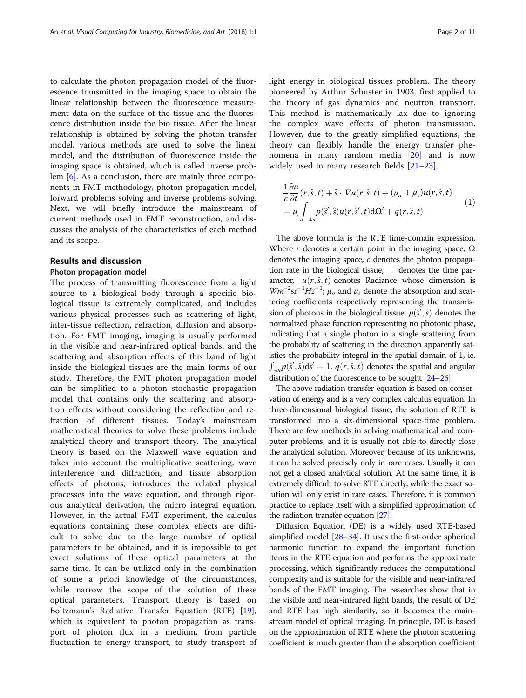to calculate the photon propagation model of the fluorescence transmitted in the imaging space to obtain the linear relationship between the fluorescence measurement data on the surface of the tissue and the fluorescence distribution inside the bio tissue. After the linear relationship is obtained by solving the photon transfer model, various methods are used to solve the linear model, and the distribution of fluorescence inside the imaging space is obtained, which is called inverse problem [\[6](#page-8-0)]. As a conclusion, there are mainly three components in FMT methodology, photon propagation model, forward problems solving and inverse problems solving. Next, we will briefly introduce the mainstream of current methods used in FMT reconstruction, and discusses the analysis of the characteristics of each method and its scope.

#### Results and discussion

#### Photon propagation model

The process of transmitting fluorescence from a light source to a biological body through a specific biological tissue is extremely complicated, and includes various physical processes such as scattering of light, inter-tissue reflection, refraction, diffusion and absorption. For FMT imaging, imaging is usually performed in the visible and near-infrared optical bands, and the scattering and absorption effects of this band of light inside the biological tissues are the main forms of our study. Therefore, the FMT photon propagation model can be simplified to a photon stochastic propagation model that contains only the scattering and absorption effects without considering the reflection and refraction of different tissues. Today's mainstream mathematical theories to solve these problems include analytical theory and transport theory. The analytical theory is based on the Maxwell wave equation and takes into account the multiplicative scattering, wave interference and diffraction, and tissue absorption effects of photons, introduces the related physical processes into the wave equation, and through rigorous analytical derivation, the micro integral equation. However, in the actual FMT experiment, the calculus equations containing these complex effects are difficult to solve due to the large number of optical parameters to be obtained, and it is impossible to get exact solutions of these optical parameters at the same time. It can be utilized only in the combination of some a priori knowledge of the circumstances, while narrow the scope of the solution of these optical parameters. Transport theory is based on Boltzmann's Radiative Transfer Equation (RTE) [\[19](#page-8-0)], which is equivalent to photon propagation as transport of photon flux in a medium, from particle fluctuation to energy transport, to study transport of light energy in biological tissues problem. The theory pioneered by Arthur Schuster in 1903, first applied to the theory of gas dynamics and neutron transport. This method is mathematically lax due to ignoring the complex wave effects of photon transmission. However, due to the greatly simplified equations, the theory can flexibly handle the energy transfer phenomena in many random media [[20\]](#page-8-0) and is now widely used in many research fields [[21](#page-8-0)–[23\]](#page-8-0).

$$
\frac{1}{c}\frac{\partial u}{\partial t}(r,\hat{s},t) + \hat{s} \cdot \nabla u(r,\hat{s},t) + (\mu_a + \mu_s)u(r,\hat{s},t) \n= \mu_s \int_{4\pi} p(\hat{s}',\hat{s})u(r,\hat{s}',t) d\Omega' + q(r,\hat{s},t)
$$
\n(1)

The above formula is the RTE time-domain expression. Where r denotes a certain point in the imaging space,  $\Omega$ denotes the imaging space, c denotes the photon propagation rate in the biological tissue, denotes the time parameter,  $u(r, \hat{s}, t)$  denotes Radiance whose dimension is  $Wm^{-2}$ sr<sup>-1</sup>Hz<sup>-1</sup>;  $\mu_a$  and  $\mu_s$  denote the absorption and scattering coefficients respectively representing the transmission of photons in the biological tissue.  $p(\hat{s}', \hat{s})$  denotes the normalized phase function representing no photonic phase, indicating that a single photon in a single scattering from the probability of scattering in the direction apparently satisfies the probability integral in the spatial domain of 1, ie.  $\int_{4\pi} p(\hat{s}',\hat{s}) d\hat{s}' = 1$ .  $q(r,\hat{s}, t)$  denotes the spatial and angular distribution of the fluorescence to be sought [\[24](#page-8-0)–[26\]](#page-8-0).

The above radiation transfer equation is based on conservation of energy and is a very complex calculus equation. In three-dimensional biological tissue, the solution of RTE is transformed into a six-dimensional space-time problem. There are few methods in solving mathematical and computer problems, and it is usually not able to directly close the analytical solution. Moreover, because of its unknowns, it can be solved precisely only in rare cases. Usually it can not get a closed analytical solution. At the same time, it is extremely difficult to solve RTE directly, while the exact solution will only exist in rare cases. Therefore, it is common practice to replace itself with a simplified approximation of the radiation transfer equation [\[27\]](#page-8-0).

Diffusion Equation (DE) is a widely used RTE-based simplified model  $[28-34]$  $[28-34]$  $[28-34]$  $[28-34]$ . It uses the first-order spherical harmonic function to expand the important function items in the RTE equation and performs the approximate processing, which significantly reduces the computational complexity and is suitable for the visible and near-infrared bands of the FMT imaging. The researches show that in the visible and near-infrared light bands, the result of DE and RTE has high similarity, so it becomes the mainstream model of optical imaging. In principle, DE is based on the approximation of RTE where the photon scattering coefficient is much greater than the absorption coefficient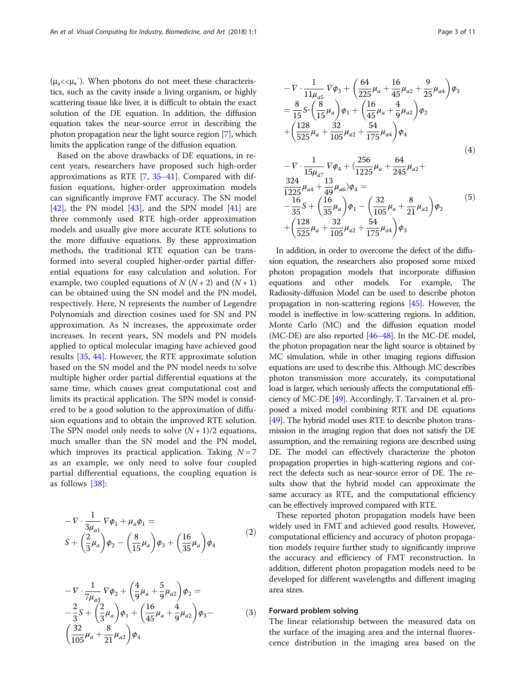$(\mu_a \ll \mu_s)$ . When photons do not meet these characteristics, such as the cavity inside a living organism, or highly scattering tissue like liver, it is difficult to obtain the exact solution of the DE equation. In addition, the diffusion equation takes the near-source error in describing the photon propagation near the light source region [[7\]](#page-8-0), which limits the application range of the diffusion equation.

Based on the above drawbacks of DE equations, in recent years, researchers have proposed such high-order approximations as RTE [[7,](#page-8-0) [35](#page-8-0)–[41](#page-8-0)]. Compared with diffusion equations, higher-order approximation models can significantly improve FMT accuracy. The SN model [[42\]](#page-8-0), the PN model [[43\]](#page-8-0), and the SPN model  $[41]$  $[41]$  $[41]$  are three commonly used RTE high-order approximation models and usually give more accurate RTE solutions to the more diffusive equations. By these approximation methods, the traditional RTE equation can be transformed into several coupled higher-order partial differential equations for easy calculation and solution. For example, two coupled equations of  $N (N + 2)$  and  $(N + 1)$ can be obtained using the SN model and the PN model, respectively. Here, N represents the number of Legendre Polynomials and direction cosines used for SN and PN approximation. As N increases, the approximate order increases. In recent years, SN models and PN models applied to optical molecular imaging have achieved good results [\[35,](#page-8-0) [44](#page-8-0)]. However, the RTE approximate solution based on the SN model and the PN model needs to solve multiple higher order partial differential equations at the same time, which causes great computational cost and limits its practical application. The SPN model is considered to be a good solution to the approximation of diffusion equations and to obtain the improved RTE solution. The SPN model only needs to solve  $(N + 1)/2$  equations, much smaller than the SN model and the PN model, which improves its practical application. Taking  $N = 7$ as an example, we only need to solve four coupled partial differential equations, the coupling equation is as follows [[38\]](#page-8-0):

$$
-\nabla \cdot \frac{1}{3\mu_{a1}} \nabla \phi_1 + \mu_a \phi_1 =
$$
  

$$
S + \left(\frac{2}{3}\mu_a\right)\phi_2 - \left(\frac{8}{15}\mu_a\right)\phi_3 + \left(\frac{16}{35}\mu_a\right)\phi_4
$$
 (2)

$$
-\nabla \cdot \frac{1}{7\mu_{a3}} \nabla \phi_2 + \left(\frac{4}{9}\mu_a + \frac{5}{9}\mu_{a2}\right) \phi_2 =
$$
  

$$
-\frac{2}{3}S + \left(\frac{2}{3}\mu_a\right) \phi_1 + \left(\frac{16}{45}\mu_a + \frac{4}{9}\mu_{a2}\right) \phi_3 -
$$
  

$$
\left(\frac{32}{105}\mu_a + \frac{8}{21}\mu_{a2}\right) \phi_4
$$
 (3)

$$
-\nabla \cdot \frac{1}{11\mu_{a5}} \nabla \phi_3 + \left(\frac{64}{225}\mu_a + \frac{16}{45}\mu_{a2} + \frac{9}{25}\mu_{a4}\right) \phi_3
$$
  
\n
$$
= \frac{8}{15} S \cdot \left(\frac{8}{15}\mu_a\right) \phi_1 + \left(\frac{16}{45}\mu_a + \frac{4}{9}\mu_{a2}\right) \phi_2
$$
  
\n
$$
+ \left(\frac{128}{525}\mu_a + \frac{32}{105}\mu_{a2} + \frac{54}{175}\mu_{a4}\right) \phi_4
$$
  
\n
$$
-\nabla \cdot \frac{1}{15\mu_{a7}} \nabla \phi_4 + \left(\frac{256}{1225}\mu_a + \frac{64}{245}\mu_{a2} + \frac{324}{1225}\mu_{a4} + \frac{13}{49}\mu_{a6}\right) \phi_4 =
$$
  
\n
$$
- \frac{16}{35} S + \left(\frac{16}{35}\mu_a\right) \phi_1 - \left(\frac{32}{105}\mu_a + \frac{8}{21}\mu_{a2}\right) \phi_2
$$
  
\n
$$
+ \left(\frac{128}{525}\mu_a + \frac{32}{105}\mu_{a2} + \frac{54}{175}\mu_{a4}\right) \phi_3
$$
  
\n(5)

 $\overline{16}$ 

In addition, in order to overcome the defect of the diffusion equation, the researchers also proposed some mixed photon propagation models that incorporate diffusion equations and other models. For example, The Radiosity-diffusion Model can be used to describe photon propagation in non-scattering regions [[45](#page-9-0)]. However, the model is ineffective in low-scattering regions. In addition, Monte Carlo (MC) and the diffusion equation model (MC-DE) are also reported [\[46](#page-9-0)–[48](#page-9-0)]. In the MC-DE model, the photon propagation near the light source is obtained by MC simulation, while in other imaging regions diffusion equations are used to describe this. Although MC describes photon transmission more accurately, its computational load is larger, which seriously affects the computational efficiency of MC-DE [\[49](#page-9-0)]. Accordingly, T. Tarvainen et al. proposed a mixed model combining RTE and DE equations [[49](#page-9-0)]. The hybrid model uses RTE to describe photon transmission in the imaging region that does not satisfy the DE assumption, and the remaining regions are described using DE. The model can effectively characterize the photon propagation properties in high-scattering regions and correct the defects such as near-source error of DE. The results show that the hybrid model can approximate the same accuracy as RTE, and the computational efficiency can be effectively improved compared with RTE.

These reported photon propagation models have been widely used in FMT and achieved good results. However, computational efficiency and accuracy of photon propagation models require further study to significantly improve the accuracy and efficiency of FMT reconstruction. In addition, different photon propagation models need to be developed for different wavelengths and different imaging area sizes.

#### Forward problem solving

The linear relationship between the measured data on the surface of the imaging area and the internal fluorescence distribution in the imaging area based on the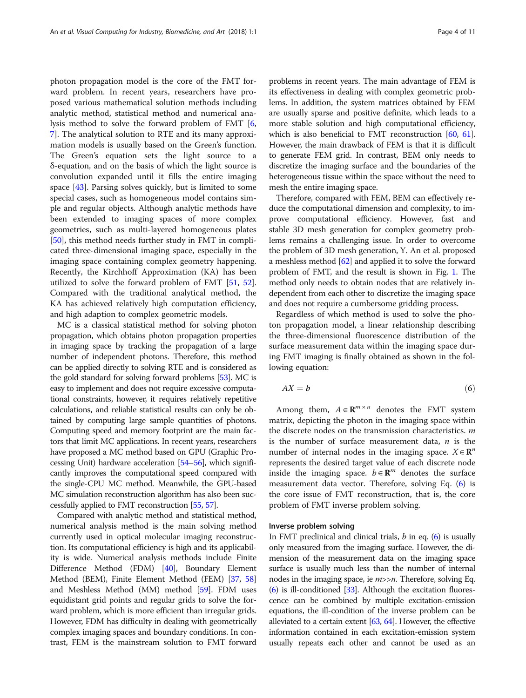<span id="page-3-0"></span>photon propagation model is the core of the FMT forward problem. In recent years, researchers have proposed various mathematical solution methods including analytic method, statistical method and numerical analysis method to solve the forward problem of FMT [[6](#page-8-0), [7\]](#page-8-0). The analytical solution to RTE and its many approximation models is usually based on the Green's function. The Green's equation sets the light source to a δ-equation, and on the basis of which the light source is convolution expanded until it fills the entire imaging space [\[43](#page-8-0)]. Parsing solves quickly, but is limited to some special cases, such as homogeneous model contains simple and regular objects. Although analytic methods have been extended to imaging spaces of more complex geometries, such as multi-layered homogeneous plates [[50\]](#page-9-0), this method needs further study in FMT in complicated three-dimensional imaging space, especially in the imaging space containing complex geometry happening. Recently, the Kirchhoff Approximation (KA) has been utilized to solve the forward problem of FMT [\[51](#page-9-0), [52](#page-9-0)]. Compared with the traditional analytical method, the KA has achieved relatively high computation efficiency, and high adaption to complex geometric models.

MC is a classical statistical method for solving photon propagation, which obtains photon propagation properties in imaging space by tracking the propagation of a large number of independent photons. Therefore, this method can be applied directly to solving RTE and is considered as the gold standard for solving forward problems [\[53](#page-9-0)]. MC is easy to implement and does not require excessive computational constraints, however, it requires relatively repetitive calculations, and reliable statistical results can only be obtained by computing large sample quantities of photons. Computing speed and memory footprint are the main factors that limit MC applications. In recent years, researchers have proposed a MC method based on GPU (Graphic Processing Unit) hardware acceleration [\[54](#page-9-0)–[56\]](#page-9-0), which significantly improves the computational speed compared with the single-CPU MC method. Meanwhile, the GPU-based MC simulation reconstruction algorithm has also been successfully applied to FMT reconstruction [[55](#page-9-0), [57](#page-9-0)].

Compared with analytic method and statistical method, numerical analysis method is the main solving method currently used in optical molecular imaging reconstruction. Its computational efficiency is high and its applicability is wide. Numerical analysis methods include Finite Difference Method (FDM) [\[40](#page-8-0)], Boundary Element Method (BEM), Finite Element Method (FEM) [\[37](#page-8-0), [58](#page-9-0)] and Meshless Method (MM) method [\[59\]](#page-9-0). FDM uses equidistant grid points and regular grids to solve the forward problem, which is more efficient than irregular grids. However, FDM has difficulty in dealing with geometrically complex imaging spaces and boundary conditions. In contrast, FEM is the mainstream solution to FMT forward problems in recent years. The main advantage of FEM is its effectiveness in dealing with complex geometric problems. In addition, the system matrices obtained by FEM are usually sparse and positive definite, which leads to a more stable solution and high computational efficiency, which is also beneficial to FMT reconstruction [[60](#page-9-0), [61](#page-9-0)]. However, the main drawback of FEM is that it is difficult to generate FEM grid. In contrast, BEM only needs to discretize the imaging surface and the boundaries of the heterogeneous tissue within the space without the need to mesh the entire imaging space.

Therefore, compared with FEM, BEM can effectively reduce the computational dimension and complexity, to improve computational efficiency. However, fast and stable 3D mesh generation for complex geometry problems remains a challenging issue. In order to overcome the problem of 3D mesh generation, Y. An et al. proposed a meshless method [\[62\]](#page-9-0) and applied it to solve the forward problem of FMT, and the result is shown in Fig. [1.](#page-4-0) The method only needs to obtain nodes that are relatively independent from each other to discretize the imaging space and does not require a cumbersome gridding process.

Regardless of which method is used to solve the photon propagation model, a linear relationship describing the three-dimensional fluorescence distribution of the surface measurement data within the imaging space during FMT imaging is finally obtained as shown in the following equation:

$$
AX = b \tag{6}
$$

Among them,  $A \in \mathbb{R}^{m \times n}$  denotes the FMT system matrix, depicting the photon in the imaging space within the discrete nodes on the transmission characteristics.  $m$ is the number of surface measurement data,  $n$  is the number of internal nodes in the imaging space.  $X \in \mathbb{R}^n$ represents the desired target value of each discrete node inside the imaging space.  $b \in \mathbb{R}^m$  denotes the surface measurement data vector. Therefore, solving Eq. (6) is the core issue of FMT reconstruction, that is, the core problem of FMT inverse problem solving.

#### Inverse problem solving

In FMT preclinical and clinical trials,  $b$  in eq.  $(6)$  is usually only measured from the imaging surface. However, the dimension of the measurement data on the imaging space surface is usually much less than the number of internal nodes in the imaging space, ie  $m>>n$ . Therefore, solving Eq.  $(6)$  is ill-conditioned [\[33\]](#page-8-0). Although the excitation fluorescence can be combined by multiple excitation-emission equations, the ill-condition of the inverse problem can be alleviated to a certain extent  $[63, 64]$  $[63, 64]$  $[63, 64]$  $[63, 64]$ . However, the effective information contained in each excitation-emission system usually repeats each other and cannot be used as an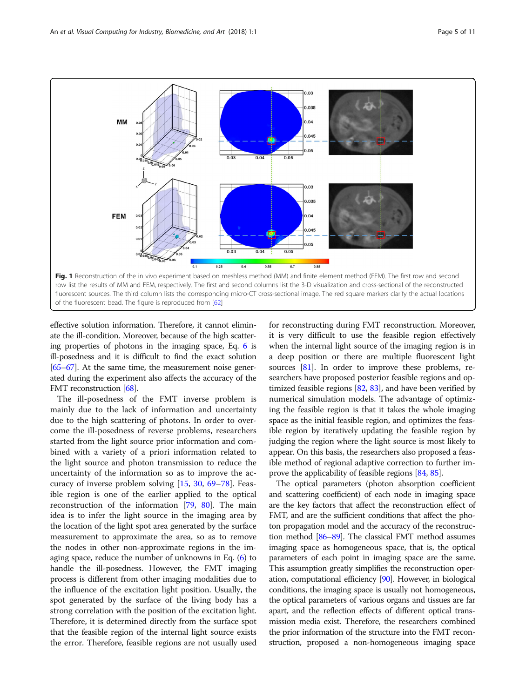<span id="page-4-0"></span>

effective solution information. Therefore, it cannot eliminate the ill-condition. Moreover, because of the high scattering properties of photons in the imaging space, Eq. [6](#page-3-0) is ill-posedness and it is difficult to find the exact solution [[65](#page-9-0)–[67](#page-9-0)]. At the same time, the measurement noise generated during the experiment also affects the accuracy of the FMT reconstruction [\[68\]](#page-9-0).

The ill-posedness of the FMT inverse problem is mainly due to the lack of information and uncertainty due to the high scattering of photons. In order to overcome the ill-posedness of reverse problems, researchers started from the light source prior information and combined with a variety of a priori information related to the light source and photon transmission to reduce the uncertainty of the information so as to improve the accuracy of inverse problem solving [[15,](#page-8-0) [30,](#page-8-0) [69](#page-9-0)–[78](#page-9-0)]. Feasible region is one of the earlier applied to the optical reconstruction of the information [[79](#page-9-0), [80\]](#page-9-0). The main idea is to infer the light source in the imaging area by the location of the light spot area generated by the surface measurement to approximate the area, so as to remove the nodes in other non-approximate regions in the imaging space, reduce the number of unknowns in Eq. ([6](#page-3-0)) to handle the ill-posedness. However, the FMT imaging process is different from other imaging modalities due to the influence of the excitation light position. Usually, the spot generated by the surface of the living body has a strong correlation with the position of the excitation light. Therefore, it is determined directly from the surface spot that the feasible region of the internal light source exists the error. Therefore, feasible regions are not usually used

for reconstructing during FMT reconstruction. Moreover, it is very difficult to use the feasible region effectively when the internal light source of the imaging region is in a deep position or there are multiple fluorescent light sources [\[81\]](#page-9-0). In order to improve these problems, researchers have proposed posterior feasible regions and optimized feasible regions  $[82, 83]$  $[82, 83]$  $[82, 83]$ , and have been verified by numerical simulation models. The advantage of optimizing the feasible region is that it takes the whole imaging space as the initial feasible region, and optimizes the feasible region by iteratively updating the feasible region by judging the region where the light source is most likely to appear. On this basis, the researchers also proposed a feasible method of regional adaptive correction to further improve the applicability of feasible regions [\[84,](#page-9-0) [85\]](#page-9-0).

The optical parameters (photon absorption coefficient and scattering coefficient) of each node in imaging space are the key factors that affect the reconstruction effect of FMT, and are the sufficient conditions that affect the photon propagation model and the accuracy of the reconstruction method [[86](#page-9-0)–[89](#page-9-0)]. The classical FMT method assumes imaging space as homogeneous space, that is, the optical parameters of each point in imaging space are the same. This assumption greatly simplifies the reconstruction operation, computational efficiency [[90\]](#page-9-0). However, in biological conditions, the imaging space is usually not homogeneous, the optical parameters of various organs and tissues are far apart, and the reflection effects of different optical transmission media exist. Therefore, the researchers combined the prior information of the structure into the FMT reconstruction, proposed a non-homogeneous imaging space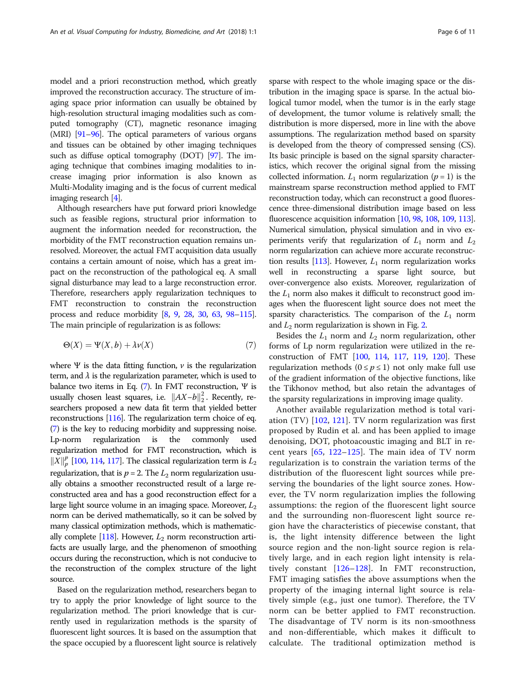model and a priori reconstruction method, which greatly improved the reconstruction accuracy. The structure of imaging space prior information can usually be obtained by high-resolution structural imaging modalities such as computed tomography (CT), magnetic resonance imaging (MRI) [[91](#page-9-0)–[96](#page-10-0)]. The optical parameters of various organs and tissues can be obtained by other imaging techniques such as diffuse optical tomography (DOT) [\[97](#page-10-0)]. The imaging technique that combines imaging modalities to increase imaging prior information is also known as Multi-Modality imaging and is the focus of current medical imaging research [[4](#page-8-0)].

Although researchers have put forward priori knowledge such as feasible regions, structural prior information to augment the information needed for reconstruction, the morbidity of the FMT reconstruction equation remains unresolved. Moreover, the actual FMT acquisition data usually contains a certain amount of noise, which has a great impact on the reconstruction of the pathological eq. A small signal disturbance may lead to a large reconstruction error. Therefore, researchers apply regularization techniques to FMT reconstruction to constrain the reconstruction process and reduce morbidity [\[8,](#page-8-0) [9,](#page-8-0) [28,](#page-8-0) [30,](#page-8-0) [63,](#page-9-0) [98](#page-10-0)–[115](#page-10-0)]. The main principle of regularization is as follows:

$$
\Theta(X) = \Psi(X, b) + \lambda \nu(X) \tag{7}
$$

where  $\Psi$  is the data fitting function,  $\nu$  is the regularization term, and  $\lambda$  is the regularization parameter, which is used to balance two items in Eq. (7). In FMT reconstruction,  $\Psi$  is usually chosen least squares, i.e.  $||AX-b||_2^2$ . Recently, researchers proposed a new data fit term that yielded better reconstructions [\[116\]](#page-10-0). The regularization term choice of eq. (7) is the key to reducing morbidity and suppressing noise. Lp-norm regularization is the commonly used regularization method for FMT reconstruction, which is  $\left\Vert X\right\Vert _{p}^{p}$  [[100,](#page-10-0) [114](#page-10-0), [117](#page-10-0)]. The classical regularization term is  $L_{2}$ regularization, that is  $p = 2$ . The  $L_2$  norm regularization usually obtains a smoother reconstructed result of a large reconstructed area and has a good reconstruction effect for a large light source volume in an imaging space. Moreover,  $L_2$ norm can be derived mathematically, so it can be solved by many classical optimization methods, which is mathematic-ally complete [\[118](#page-10-0)]. However,  $L_2$  norm reconstruction artifacts are usually large, and the phenomenon of smoothing occurs during the reconstruction, which is not conducive to the reconstruction of the complex structure of the light source.

Based on the regularization method, researchers began to try to apply the prior knowledge of light source to the regularization method. The priori knowledge that is currently used in regularization methods is the sparsity of fluorescent light sources. It is based on the assumption that the space occupied by a fluorescent light source is relatively sparse with respect to the whole imaging space or the distribution in the imaging space is sparse. In the actual biological tumor model, when the tumor is in the early stage of development, the tumor volume is relatively small; the distribution is more dispersed, more in line with the above assumptions. The regularization method based on sparsity is developed from the theory of compressed sensing (CS). Its basic principle is based on the signal sparsity characteristics, which recover the original signal from the missing collected information.  $L_1$  norm regularization ( $p = 1$ ) is the mainstream sparse reconstruction method applied to FMT reconstruction today, which can reconstruct a good fluorescence three-dimensional distribution image based on less fluorescence acquisition information [\[10,](#page-8-0) [98,](#page-10-0) [108,](#page-10-0) [109,](#page-10-0) [113](#page-10-0)]. Numerical simulation, physical simulation and in vivo experiments verify that regularization of  $L_1$  norm and  $L_2$ norm regularization can achieve more accurate reconstruc-tion results [\[113](#page-10-0)]. However,  $L_1$  norm regularization works well in reconstructing a sparse light source, but over-convergence also exists. Moreover, regularization of the  $L_1$  norm also makes it difficult to reconstruct good images when the fluorescent light source does not meet the sparsity characteristics. The comparison of the  $L_1$  norm and  $L_2$  norm regularization is shown in Fig. [2.](#page-6-0)

Besides the  $L_1$  norm and  $L_2$  norm regularization, other forms of Lp norm regularization were utilized in the reconstruction of FMT [\[100,](#page-10-0) [114,](#page-10-0) [117,](#page-10-0) [119](#page-10-0), [120](#page-10-0)]. These regularization methods  $(0 \le p \le 1)$  not only make full use of the gradient information of the objective functions, like the Tikhonov method, but also retain the advantages of the sparsity regularizations in improving image quality.

Another available regularization method is total variation (TV)  $[102, 121]$  $[102, 121]$  $[102, 121]$  $[102, 121]$  $[102, 121]$ . TV norm regularization was first proposed by Rudin et al. and has been applied to image denoising, DOT, photoacoustic imaging and BLT in recent years [[65,](#page-9-0) [122](#page-10-0)–[125](#page-10-0)]. The main idea of TV norm regularization is to constrain the variation terms of the distribution of the fluorescent light sources while preserving the boundaries of the light source zones. However, the TV norm regularization implies the following assumptions: the region of the fluorescent light source and the surrounding non-fluorescent light source region have the characteristics of piecewise constant, that is, the light intensity difference between the light source region and the non-light source region is relatively large, and in each region light intensity is relatively constant [[126](#page-10-0)–[128](#page-10-0)]. In FMT reconstruction, FMT imaging satisfies the above assumptions when the property of the imaging internal light source is relatively simple (e.g., just one tumor). Therefore, the TV norm can be better applied to FMT reconstruction. The disadvantage of TV norm is its non-smoothness and non-differentiable, which makes it difficult to calculate. The traditional optimization method is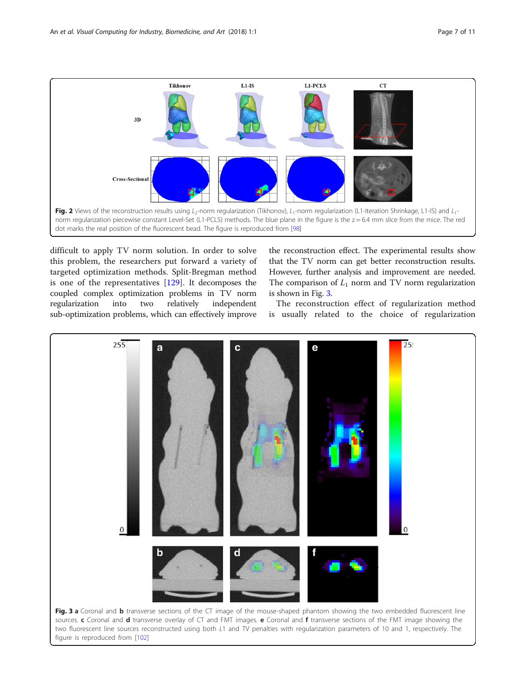<span id="page-6-0"></span>

difficult to apply TV norm solution. In order to solve this problem, the researchers put forward a variety of targeted optimization methods. Split-Bregman method is one of the representatives [[129\]](#page-10-0). It decomposes the coupled complex optimization problems in TV norm regularization into two relatively independent sub-optimization problems, which can effectively improve

the reconstruction effect. The experimental results show that the TV norm can get better reconstruction results. However, further analysis and improvement are needed. The comparison of  $L_1$  norm and TV norm regularization is shown in Fig. 3.

The reconstruction effect of regularization method is usually related to the choice of regularization



sources. c Coronal and d transverse overlay of CT and FMT images. e Coronal and f transverse sections of the FMT image showing the two fluorescent line sources reconstructed using both L1 and TV penalties with regularization parameters of 10 and 1, respectively. The figure is reproduced from [[102\]](#page-10-0)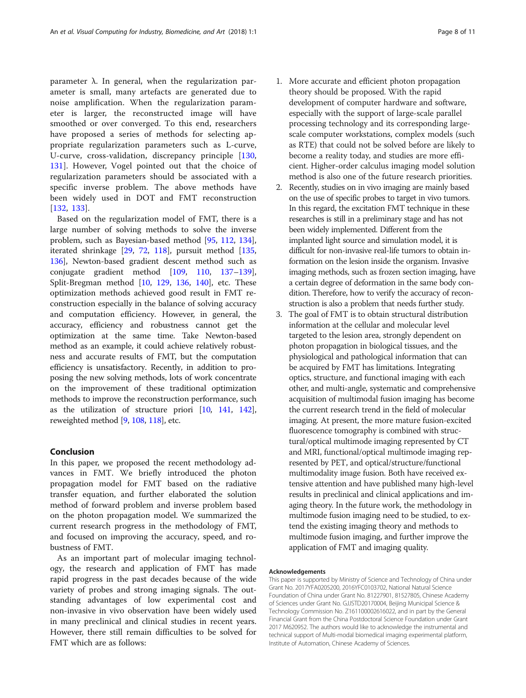parameter λ. In general, when the regularization parameter is small, many artefacts are generated due to noise amplification. When the regularization parameter is larger, the reconstructed image will have smoothed or over converged. To this end, researchers have proposed a series of methods for selecting appropriate regularization parameters such as L-curve, U-curve, cross-validation, discrepancy principle [\[130](#page-10-0), [131\]](#page-10-0). However, Vogel pointed out that the choice of regularization parameters should be associated with a specific inverse problem. The above methods have been widely used in DOT and FMT reconstruction [[132,](#page-10-0) [133](#page-10-0)].

Based on the regularization model of FMT, there is a large number of solving methods to solve the inverse problem, such as Bayesian-based method [[95](#page-10-0), [112,](#page-10-0) [134](#page-10-0)], iterated shrinkage [\[29](#page-8-0), [72](#page-9-0), [118](#page-10-0)], pursuit method [[135](#page-10-0), [136](#page-10-0)], Newton-based gradient descent method such as conjugate gradient method [\[109](#page-10-0), [110](#page-10-0), [137](#page-10-0)–[139](#page-10-0)], Split-Bregman method [\[10,](#page-8-0) [129](#page-10-0), [136](#page-10-0), [140](#page-10-0)], etc. These optimization methods achieved good result in FMT reconstruction especially in the balance of solving accuracy and computation efficiency. However, in general, the accuracy, efficiency and robustness cannot get the optimization at the same time. Take Newton-based method as an example, it could achieve relatively robustness and accurate results of FMT, but the computation efficiency is unsatisfactory. Recently, in addition to proposing the new solving methods, lots of work concentrate on the improvement of these traditional optimization methods to improve the reconstruction performance, such as the utilization of structure priori [[10](#page-8-0), [141,](#page-10-0) [142](#page-10-0)], reweighted method [[9,](#page-8-0) [108,](#page-10-0) [118\]](#page-10-0), etc.

# Conclusion

In this paper, we proposed the recent methodology advances in FMT. We briefly introduced the photon propagation model for FMT based on the radiative transfer equation, and further elaborated the solution method of forward problem and inverse problem based on the photon propagation model. We summarized the current research progress in the methodology of FMT, and focused on improving the accuracy, speed, and robustness of FMT.

As an important part of molecular imaging technology, the research and application of FMT has made rapid progress in the past decades because of the wide variety of probes and strong imaging signals. The outstanding advantages of low experimental cost and non-invasive in vivo observation have been widely used in many preclinical and clinical studies in recent years. However, there still remain difficulties to be solved for FMT which are as follows:

- 1. More accurate and efficient photon propagation theory should be proposed. With the rapid development of computer hardware and software, especially with the support of large-scale parallel processing technology and its corresponding largescale computer workstations, complex models (such as RTE) that could not be solved before are likely to become a reality today, and studies are more efficient. Higher-order calculus imaging model solution method is also one of the future research priorities.
- 2. Recently, studies on in vivo imaging are mainly based on the use of specific probes to target in vivo tumors. In this regard, the excitation FMT technique in these researches is still in a preliminary stage and has not been widely implemented. Different from the implanted light source and simulation model, it is difficult for non-invasive real-life tumors to obtain information on the lesion inside the organism. Invasive imaging methods, such as frozen section imaging, have a certain degree of deformation in the same body condition. Therefore, how to verify the accuracy of reconstruction is also a problem that needs further study.
- 3. The goal of FMT is to obtain structural distribution information at the cellular and molecular level targeted to the lesion area, strongly dependent on photon propagation in biological tissues, and the physiological and pathological information that can be acquired by FMT has limitations. Integrating optics, structure, and functional imaging with each other, and multi-angle, systematic and comprehensive acquisition of multimodal fusion imaging has become the current research trend in the field of molecular imaging. At present, the more mature fusion-excited fluorescence tomography is combined with structural/optical multimode imaging represented by CT and MRI, functional/optical multimode imaging represented by PET, and optical/structure/functional multimodality image fusion. Both have received extensive attention and have published many high-level results in preclinical and clinical applications and imaging theory. In the future work, the methodology in multimode fusion imaging need to be studied, to extend the existing imaging theory and methods to multimode fusion imaging, and further improve the application of FMT and imaging quality.

#### Acknowledgements

This paper is supported by Ministry of Science and Technology of China under Grant No. 2017YFA0205200, 2016YFC0103702, National Natural Science Foundation of China under Grant No. 81227901, 81527805, Chinese Academy of Sciences under Grant No. GJJSTD20170004, Beijing Municipal Science & Technology Commission No. Z161100002616022, and in part by the General Financial Grant from the China Postdoctoral Science Foundation under Grant 2017 M620952. The authors would like to acknowledge the instrumental and technical support of Multi-modal biomedical imaging experimental platform, Institute of Automation, Chinese Academy of Sciences.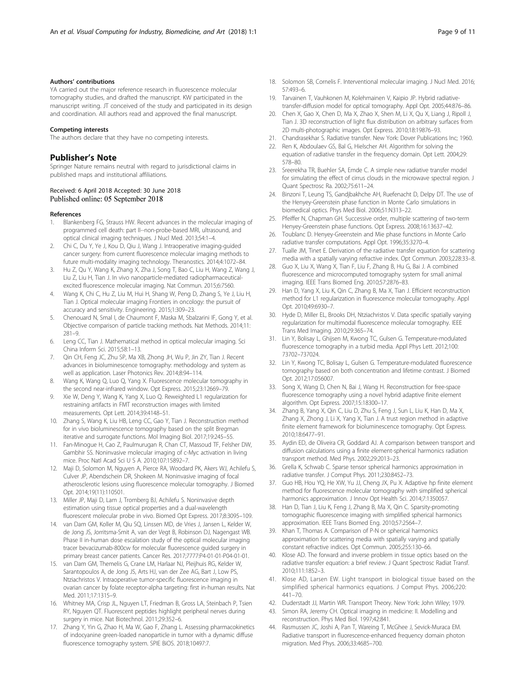### <span id="page-8-0"></span>Authors' contributions

YA carried out the major reference research in fluorescence molecular tomography studies, and drafted the manuscript. KW participated in the manuscript writing. JT conceived of the study and participated in its design and coordination. All authors read and approved the final manuscript.

#### Competing interests

The authors declare that they have no competing interests.

#### Publisher's Note

Springer Nature remains neutral with regard to jurisdictional claims in published maps and institutional affiliations.

#### Received: 6 April 2018 Accepted: 30 June 2018 Published online: 05 September 2018

#### References

- Blankenberg FG, Strauss HW. Recent advances in the molecular imaging of programmed cell death: part II--non-probe-based MRI, ultrasound, and optical clinical imaging techniques. J Nucl Med. 2013;54:1–4.
- 2. Chi C, Du Y, Ye J, Kou D, Qiu J, Wang J. Intraoperative imaging-guided cancer surgery: from current fluorescence molecular imaging methods to future multi-modality imaging technology. Theranostics. 2014;4:1072–84.
- Hu Z, Qu Y, Wang K, Zhang X, Zha J, Song T, Bao C, Liu H, Wang Z, Wang J, Liu Z, Liu H, Tian J. In vivo nanoparticle-mediated radiopharmaceuticalexcited fluorescence molecular imaging. Nat Commun. 2015;6:7560.
- Wang K, Chi C, Hu Z, Liu M, Hui H, Shang W, Peng D, Zhang S, Ye J, Liu H, Tian J. Optical molecular imaging Frontiers in oncology: the pursuit of accuracy and sensitivity. Engineering. 2015;1:309–23.
- 5. Chenouard N, Smal I, de Chaumont F, Maska M, Sbalzarini IF, Gong Y, et al. Objective comparison of particle tracking methods. Nat Methods. 2014;11: 281–9.
- 6. Leng CC, Tian J. Mathematical method in optical molecular imaging. Sci China Inform Sci. 2015;58:1–13.
- 7. Qin CH, Feng JC, Zhu SP, Ma XB, Zhong JH, Wu P, Jin ZY, Tian J. Recent advances in bioluminescence tomography: methodology and system as well as application. Laser Photonics Rev. 2014;8:94–114.
- 8. Wang K, Wang Q, Luo Q, Yang X. Fluorescence molecular tomography in the second near-infrared window. Opt Express. 2015;23:12669–79.
- 9. Xie W, Deng Y, Wang K, Yang X, Luo Q. Reweighted L1 regularization for restraining artifacts in FMT reconstruction images with limited measurements. Opt Lett. 2014;39:4148–51.
- 10. Zhang S, Wang K, Liu HB, Leng CC, Gao Y, Tian J. Reconstruction method for in vivo bioluminescence tomography based on the split Bregman iterative and surrogate functions. Mol Imaging Biol. 2017;19:245–55.
- 11. Fan-Minogue H, Cao Z, Paulmurugan R, Chan CT, Massoud TF, Felsher DW, Gambhir SS. Noninvasive molecular imaging of c-Myc activation in living mice. Proc Natl Acad Sci U S A. 2010;107:15892–7.
- 12. Maji D, Solomon M, Nguyen A, Pierce RA, Woodard PK, Akers WJ, Achilefu S, Culver JP, Abendschein DR, Shokeen M. Noninvasive imaging of focal atherosclerotic lesions using fluorescence molecular tomography. J Biomed Opt. 2014;19(11):110501.
- 13. Miller JP, Maji D, Lam J, Tromberg BJ, Achilefu S. Noninvasive depth estimation using tissue optical properties and a dual-wavelength fluorescent molecular probe in vivo. Biomed Opt Express. 2017;8:3095–109.
- 14. van Dam GM, Koller M, Qiu SQ, Linssen MD, de Vries J, Jansen L, Kelder W, de Jong JS, Jorritsma-Smit A, van der Vegt B, Robinson DJ, Nagengast WB. Phase II in-human dose escalation study of the optical molecular imaging tracer bevacizumab-800cw for molecular fluorescence guided surgery in primary breast cancer patients. Cancer Res. 2017;7777:P4-01-01-P04-01-01.
- 15. van Dam GM, Themelis G, Crane LM, Harlaar NJ, Pleijhuis RG, Kelder W, Sarantopoulos A, de Jong JS, Arts HJ, van der Zee AG, Bart J, Low PS, Ntziachristos V. Intraoperative tumor-specific fluorescence imaging in ovarian cancer by folate receptor-alpha targeting: first in-human results. Nat Med. 2011;17:1315–9.
- 16. Whitney MA, Crisp JL, Nguyen LT, Friedman B, Gross LA, Steinbach P, Tsien RY, Nguyen QT. Fluorescent peptides highlight peripheral nerves during surgery in mice. Nat Biotechnol. 2011;29:352–6.
- 17. Zhang Y, Yin G, Zhao H, Ma W, Gao F, Zhang L. Assessing pharmacokinetics of indocyanine green-loaded nanoparticle in tumor with a dynamic diffuse fluorescence tomography system. SPIE BiOS. 2018;10497:7.
- 18. Solomon SB, Cornelis F. Interventional molecular imaging. J Nucl Med. 2016; 57:493–6.
- 19. Tarvainen T, Vauhkonen M, Kolehmainen V, Kaipio JP. Hybrid radiativetransfer-diffusion model for optical tomography. Appl Opt. 2005;44:876–86.
- 20. Chen X, Gao X, Chen D, Ma X, Zhao X, Shen M, Li X, Qu X, Liang J, Ripoll J, Tian J. 3D reconstruction of light flux distribution on arbitrary surfaces from 2D multi-photographic images. Opt Express. 2010;18:19876–93.
- 21. Chandrasekhar S. Radiative transfer. New York: Dover Publications Inc; 1960.
- 22. Ren K, Abdoulaev GS, Bal G, Hielscher AH, Algorithm for solving the equation of radiative transfer in the frequency domain. Opt Lett. 2004;29: 578–80.
- 23. Sreerekha TR, Buehler SA, Emde C. A simple new radiative transfer model for simulating the effect of cirrus clouds in the microwave spectral region. J Quant Spectrosc Ra. 2002;75:611–24.
- 24. Binzoni T, Leung TS, Gandjbakhche AH, Ruefenacht D, Delpy DT. The use of the Henyey-Greenstein phase function in Monte Carlo simulations in biomedical optics. Phys Med Biol. 2006;51:N313–22.
- 25. Pfeiffer N, Chapman GH. Successive order, multiple scattering of two-term Henyey-Greenstein phase functions. Opt Express. 2008;16:13637–42.
- 26. Toublanc D. Henyey-Greenstein and Mie phase functions in Monte Carlo radiative transfer computations. Appl Opt. 1996;35:3270–4.
- 27. Tualle JM, Tinet E. Derivation of the radiative transfer equation for scattering media with a spatially varying refractive index. Opt Commun. 2003;228:33–8.
- 28. Guo X, Liu X, Wang X, Tian F, Liu F, Zhang B, Hu G, Bai J. A combined fluorescence and microcomputed tomography system for small animal imaging. IEEE Trans Biomed Eng. 2010;57:2876–83.
- 29. Han D, Yang X, Liu K, Qin C, Zhang B, Ma X, Tian J. Efficient reconstruction method for L1 regularization in fluorescence molecular tomography. Appl Opt. 2010;49:6930–7.
- 30. Hyde D, Miller EL, Brooks DH, Ntziachristos V. Data specific spatially varying regularization for multimodal fluorescence molecular tomography. IEEE Trans Med Imaging. 2010;29:365–74.
- 31. Lin Y, Bolisay L, Ghijsen M, Kwong TC, Gulsen G. Temperature-modulated fluorescence tomography in a turbid media. Appl Phys Lett. 2012;100: 73702–737024.
- 32. Lin Y, Kwong TC, Bolisay L, Gulsen G. Temperature-modulated fluorescence tomography based on both concentration and lifetime contrast. J Biomed Opt. 2012;17:056007.
- 33. Song X, Wang D, Chen N, Bai J, Wang H. Reconstruction for free-space fluorescence tomography using a novel hybrid adaptive finite element algorithm. Opt Express. 2007;15:18300–17.
- 34. Zhang B, Yang X, Qin C, Liu D, Zhu S, Feng J, Sun L, Liu K, Han D, Ma X, Zhang X, Zhong J, Li X, Yang X, Tian J. A trust region method in adaptive finite element framework for bioluminescence tomography. Opt Express. 2010;18:6477–91.
- 35. Aydin ED, de Oliveira CR, Goddard AJ. A comparison between transport and diffusion calculations using a finite element-spherical harmonics radiation transport method. Med Phys. 2002;29:2013–23.
- 36. Grella K, Schwab C. Sparse tensor spherical harmonics approximation in radiative transfer. J Comput Phys. 2011;230:8452–73.
- 37. Guo HB, Hou YQ, He XW, Yu JJ, Cheng JX, Pu X. Adaptive hp finite element method for fluorescence molecular tomography with simplified spherical harmonics approximation. J Innov Opt Health Sci. 2014;7:1350057
- 38. Han D, Tian J, Liu K, Feng J, Zhang B, Ma X, Qin C. Sparsity-promoting tomographic fluorescence imaging with simplified spherical harmonics approximation. IEEE Trans Biomed Eng. 2010;57:2564–7.
- 39. Khan T, Thomas A. Comparison of P-N or spherical harmonics approximation for scattering media with spatially varying and spatially constant refractive indices. Opt Commun. 2005;255:130–66.
- 40. Klose AD. The forward and inverse problem in tissue optics based on the radiative transfer equation: a brief review. J Quant Spectrosc Radiat Transf. 2010;111:1852–3.
- 41. Klose AD, Larsen EW. Light transport in biological tissue based on the simplified spherical harmonics equations. J Comput Phys. 2006;220: 441–70.
- 42. Duderstadt JJ, Martin WR. Transport Theory. New York: John Wiley; 1979.
- 43. Simon RA, Jeremy CH. Optical imaging in medicine: II. Modelling and reconstruction. Phys Med Biol. 1997;42:841.
- 44. Rasmussen JC, Joshi A, Pan T, Wareing T, McGhee J, Sevick-Muraca EM. Radiative transport in fluorescence-enhanced frequency domain photon migration. Med Phys. 2006;33:4685–700.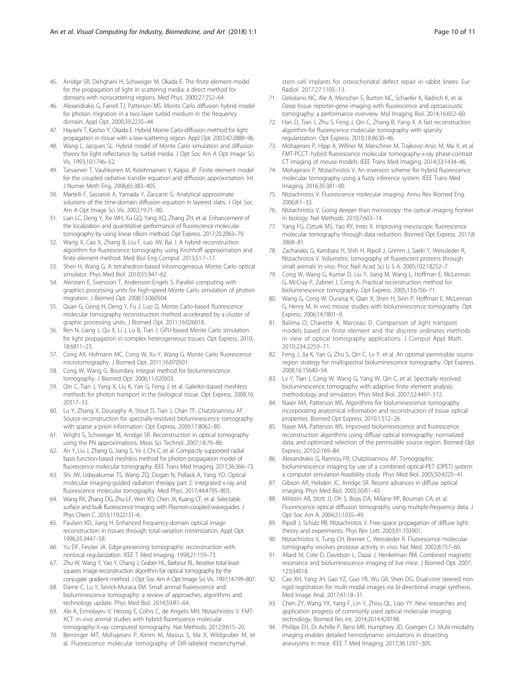- <span id="page-9-0"></span>45. Arridge SR, Dehghani H, Schweiger M, Okada E. The finite element model for the propagation of light in scattering media: a direct method for domains with nonscattering regions. Med Phys. 2000;27:252–64.
- 46. Alexandrakis G, Farrell TJ, Patterson MS. Monte Carlo diffusion hybrid model for photon migration in a two-layer turbid medium in the frequency domain. Appl Opt. 2000;39:2235–44.
- 47. Hayashi T, Kashio Y, Okada E. Hybrid Monte Carlo-diffusion method for light propagation in tissue with a low-scattering region. Appl Opt. 2003;42:2888–96.
- 48. Wang L, Jacques SL. Hybrid model of Monte Carlo simulation and diffusion theory for light reflectance by turbid media. J Opt Soc Am A Opt Image Sci Vis. 1993;10:1746–52.
- 49. Tarvainen T, Vauhkonen M, Kolehmainen V, Kaipio JP. Finite element model for the coupled radiative transfer equation and diffusion approximation. Int J Numer Meth Eng. 2006;65:383–405.
- 50. Martelli F, Sassaroli A, Yamada Y, Zaccanti G. Analytical approximate solutions of the time-domain diffusion equation in layered slabs. J Opt Soc Am A Opt Image Sci Vis. 2002;19:71–80.
- 51. Lian LC, Deng Y, Xie WH, Xu GQ, Yang XQ, Zhang ZH, et al. Enhancement of the localization and quantitative performance of fluorescence molecular tomography by using linear nBorn method. Opt Express. 2017;25:2063–79.
- 52. Wang X, Cao X, Zhang B, Liu F, Luo JW, Bai J. A hybrid reconstruction algorithm for fluorescence tomography using Kirchhoff approximation and finite element method. Med Biol Eng Comput. 2013;51:7–17.
- 53. Shen H, Wang G. A tetrahedron-based inhomogeneous Monte Carlo optical simulator. Phys Med Biol. 2010;55:947–62.
- 54. Alerstam E, Svensson T, Andersson-Engels S. Parallel computing with graphics processing units for high-speed Monte Carlo simulation of photon migration. J Biomed Opt. 2008;13:060504.
- 55. Quan G, Gong H, Deng Y, Fu J, Luo Q. Monte Carlo-based fluorescence molecular tomography reconstruction method accelerated by a cluster of graphic processing units. J Biomed Opt. 2011;16:026018.
- 56. Ren N, Liang J, Qu X, Li J, Lu B, Tian J. GPU-based Monte Carlo simulation for light propagation in complex heterogeneous tissues. Opt Express. 2010; 18:6811–23.
- 57. Cong AX, Hofmann MC, Cong W, Xu Y, Wang G. Monte Carlo fluorescence microtomography. J Biomed Opt. 2011;16:070501.
- 58. Cong W, Wang G. Boundary integral method for bioluminescence tomography. J Biomed Opt. 2006;11:020503.
- 59. Qin C, Tian J, Yang X, Liu K, Yan G, Feng J, et al. Galerkin-based meshless methods for photon transport in the biological tissue. Opt Express. 2008;16: 20317–33.
- 60. Lu Y, Zhang X, Douraghy A, Stout D, Tian J, Chan TF, Chatziioannou AF. Source reconstruction for spectrally-resolved bioluminescence tomography with sparse a priori information. Opt Express. 2009;17:8062–80.
- 61. Wright S, Schweiger M, Arridge SR. Reconstruction in optical tomography using the PN approximations. Meas Sci Technol. 2007;18:79–86.
- 62. An Y, Liu J, Zhang G, Jiang S, Ye J, Chi C, et al. Compactly supported radial basis function-based meshless method for photon propagation model of fluorescence molecular tomography. IEEE Trans Med Imaging. 2017;36:366–73.
- 63. Shi JW, Udayakumar TS, Wang ZQ, Dogan N, Pollack A, Yang YD. Optical molecular imaging-guided radiation therapy part 2: integrated x-ray and fluorescence molecular tomography. Med Phys. 2017;44:4795–803.
- 64. Wang RX, Zhang DG, Zhu LF, Wen XO, Chen JX, Kuang CF, et al. Selectable surface and bulk fluorescence imaging with Plasmon-coupled waveguides. J Phys Chem C. 2015;119:22131–6.
- 65. Paulsen KD, Jiang H. Enhanced frequency-domain optical image reconstruction in tissues through total-variation minimization. Appl Opt. 1996;35:3447–58.
- 66. Yu DF, Fessler JA. Edge-preserving tomographic reconstruction with nonlocal regularization. IEEE T Med Imaging. 1998;21:159–73.
- 67. Zhu W, Wang Y, Yao Y, Chang J, Graber HL, Barbour RL. Iterative total leastsquares image reconstruction algorithm for optical tomography by the conjugate gradient method. J Opt Soc Am A Opt Image Sci Vis. 1997;14:799–807.
- 68. Darne C, Lu Y, Sevick-Muraca EM. Small animal fluorescence and bioluminescence tomography: a review of approaches, algorithms and technology update. Phys Med Biol. 2014;59:R1–64.
- 69. Ale A, Ermolayev V, Herzog E, Cohrs C, de Angelis MH, Ntziachristos V. FMT-XCT: in vivo animal studies with hybrid fluorescence molecular tomography-X-ray computed tomography. Nat Methods. 2012;9:615–20.
- 70. Berninger MT, Mohajerani P, Kimm M, Masius S, Ma X, Wildgruber M, et al. Fluorescence molecular tomography of DiR-labeled mesenchymal

stem cell implants for osteochondral defect repair in rabbit knees. Eur Radiol. 2017;27:1105–13.

- 71. Deliolanis NC, Ale A, Morscher S, Burton NC, Schaefer K, Radrich K, et al. Deep-tissue reporter-gene imaging with fluorescence and optoacoustic tomography: a performance overview. Mol Imaging Biol. 2014;16:652–60.
- 72. Han D, Tian J, Zhu S, Feng J, Qin C, Zhang B, Yang X. A fast reconstruction algorithm for fluorescence molecular tomography with sparsity regularization. Opt Express. 2010;18:8630–46.
- 73. Mohajerani P, Hipp A, Willner M, Marschner M, Trajkovic-Arsic M, Ma X, et al. FMT-PCCT: hybrid fluorescence molecular tomography-x-ray phase-contrast CT imaging of mouse models. IEEE Trans Med Imaging. 2014;33:1434–46.
- 74. Mohajerani P, Ntziachristos V. An inversion scheme for hybrid fluorescence molecular tomography using a fuzzy inference system. IEEE Trans Med Imaging. 2016;35:381–90.
- 75. Ntziachristos V. Fluorescence molecular imaging. Annu Rev Biomed Eng. 2006;8:1–33.
- 76. Ntziachristos V. Going deeper than microscopy: the optical imaging frontier in biology. Nat Methods. 2010;7:603–14.
- 77. Yang FG, Ozturk MS, Yao RY, Intes X. Improving mesoscopic fluorescence molecular tomography through data reduction. Biomed Opt Express. 2017;8: 3868–81.
- 78. Zacharakis G, Kambara H, Shih H, Ripoll J, Grimm J, Saeki Y, Weissleder R, Ntziachristos V. Volumetric tomography of fluorescent proteins through small animals in vivo. Proc Natl Acad Sci U S A. 2005;102:18252–7.
- 79. Cong W, Wang G, Kumar D, Liu Y, Jiang M, Wang L, Hoffman E, McLennan G, McCray P, Zabner J, Cong A. Practical reconstruction method for bioluminescence tomography. Opt Express. 2005;13:6756–71.
- 80. Wang G, Cong W, Durairaj K, Qian X, Shen H, Sinn P, Hoffman E, McLennan G, Henry M. In vivo mouse studies with bioluminescence tomography. Opt Express. 2006;14:7801–9.
- 81. Balima O, Charette A, Marceau D. Comparison of light transport models based on finite element and the discrete ordinates methods in view of optical tomography applications. J Comput Appl Math. 2010;234:2259–71.
- 82. Feng J, Jia K, Yan G, Zhu S, Qin C, Lv Y, et al. An optimal permissible source region strategy for multispectral bioluminescence tomography. Opt Express. 2008;16:15640–54.
- 83. Lv Y, Tian J, Cong W, Wang G, Yang W, Qin C, et al. Spectrally resolved bioluminescence tomography with adaptive finite element analysis: methodology and simulation. Phys Med Biol. 2007;52:4497–512.
- 84. Naser MA, Patterson MS. Algorithms for bioluminescence tomography incorporating anatomical information and reconstruction of tissue optical properties. Biomed Opt Express. 2010;1:512–26.
- 85. Naser MA, Patterson MS. Improved bioluminescence and fluorescence reconstruction algorithms using diffuse optical tomography, normalized data, and optimized selection of the permissible source region. Biomed Opt Express. 2010;2:169–84.
- 86. Alexandrakis G, Rannou FR, Chatziioannou AF. Tomographic bioluminescence imaging by use of a combined optical-PET (OPET) system: a computer simulation feasibility study. Phys Med Biol. 2005;50:4225–41.
- 87. Gibson AP, Hebden JC, Arridge SR. Recent advances in diffuse optical imaging. Phys Med Biol. 2005;50:R1–43.
- 88. Milstein AB, Stott JJ, Oh S, Boas DA, Millane RP, Bouman CA, et al. Fluorescence optical diffusion tomography using multiple-frequency data. J Opt Soc Am A. 2004;21:1035–49.
- 89. Ripoll J, Schulz RB, Ntziachristos V. Free-space propagation of diffuse light: theory and experiments. Phys Rev Lett. 2003;91:103901.
- 90. Ntziachristos V, Tung CH, Bremer C, Weissleder R. Fluorescence molecular tomography resolves protease activity in vivo. Nat Med. 2002;8:757–60.
- 91. Allard M, Cote D, Davidson L, Dazai J, Henkelman RM. Combined magnetic resonance and bioluminescence imaging of live mice. J Biomed Opt. 2007; 12:034018.
- 92. Cao XH, Yang JH, Gao YZ, Guo YR, Wu GR, Shen DG. Dual-core steered nonrigid registration for multi-modal images via bi-directional image synthesis. Med Image Anal. 2017;41:18–31.
- 93. Chen ZY, Wang YX, Yang F, Lin Y, Zhou QL, Liao YY. New researches and application progress of commonly used optical molecular imaging technology. Biomed Res Int. 2014;2014:429198.
- 94. Phillips EH, Di Achille P, Bersi MR, Humphrey JD, Goergen CJ. Multi-modality imaging enables detailed hemodynamic simulations in dissecting aneurysms in mice. IEEE T Med Imaging. 2017;36:1297–305.